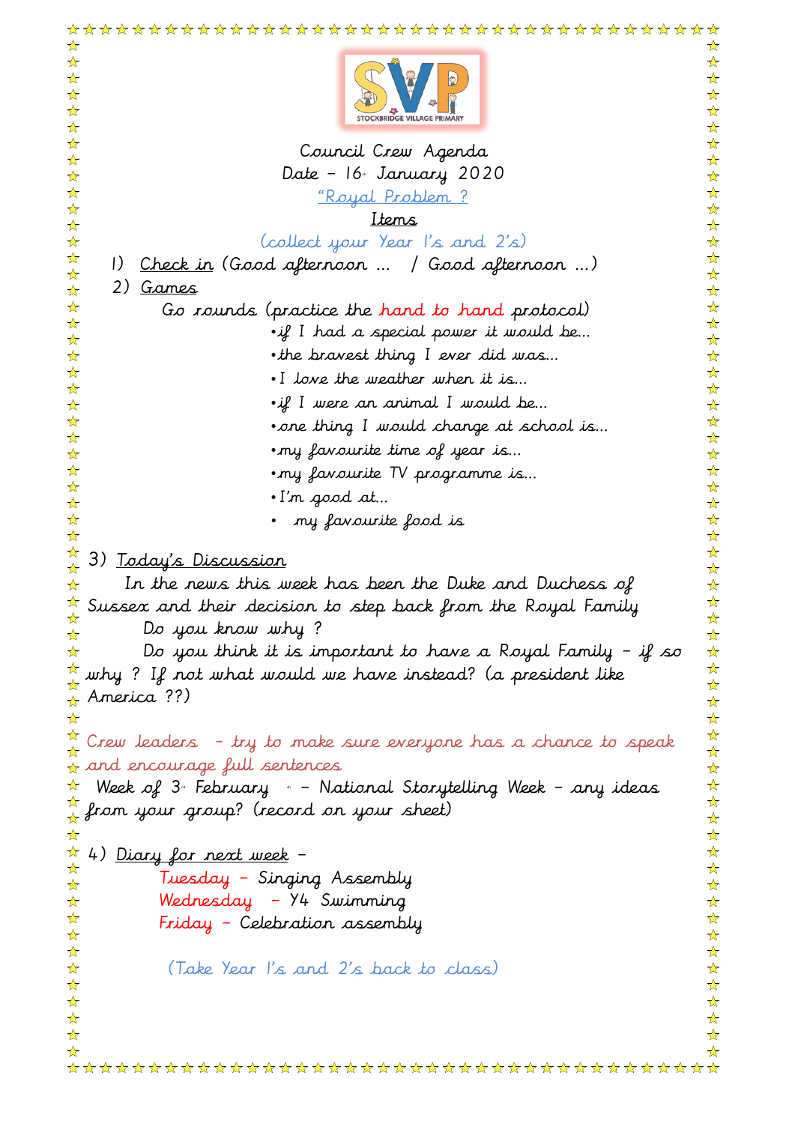| ☆<br>☆ |                                                                                     | ☆<br>☆                       |
|--------|-------------------------------------------------------------------------------------|------------------------------|
| ☆      |                                                                                     | ☆                            |
| ☆<br>☆ |                                                                                     | ☆<br>☆                       |
| ☆      |                                                                                     | ☆                            |
| ☆<br>☆ | Council Crew Agenda                                                                 | ☆<br>☆                       |
| ☆      | Date - 16 January 2020                                                              | ☆                            |
| ☆      | <u> "Royal Problem ?</u>                                                            | ☆                            |
| ☆<br>☆ | Items                                                                               | ☆<br>☆                       |
| ☆      | (collect your Year I's and 2's)                                                     | ☆                            |
| ☆<br>☆ | <u>Check in</u> (Good afternoon  / Good afternoon )<br>$\left  \right\rangle$       | ☆<br>☆                       |
| ☆      | 2) <u>Games</u>                                                                     | ☆                            |
| ☆      | Go rounds (practice the hand to hand protocol)                                      | ☆                            |
| ☆<br>☆ | $\cdot$ if I had a special power it would be                                        | ☆<br>☆                       |
| ☆      | • the bravest thing I ever did was                                                  | ☆                            |
| ☆<br>☆ | . I love the weather when it is                                                     | ☆<br>☆                       |
| ☆      | $\cdot$ if I were an animal I would be                                              | ☆                            |
| ☆      | • one thing I would change at school is                                             | ☆<br>☆                       |
| ☆<br>☆ | .my favourite time of year is                                                       | ☆                            |
| ☆      | • my favourite TV programme is                                                      | ☆                            |
| ☆<br>☆ | •I'n good at                                                                        | ☆<br>☆                       |
| ☆      | my favourite food is                                                                | ☆                            |
| ☆<br>☆ |                                                                                     | ☆<br>☆                       |
| ☆      | 3) <u>Today's Discussion</u>                                                        | ☆                            |
| ☆      | In the news this week has been the Duke and Duchess of                              | ☆                            |
| ☆<br>☆ | Sussex and their decision to step back from the Royal Family                        | ☆<br>☆                       |
| ☆      | Do you know why?                                                                    | ☆                            |
| ☆      | Do you think it is important to have a Royal Family – if so                         | $\frac{1}{\mathcal{N}}$<br>☆ |
|        | $\frac{\pi}{4}$ why ? If not what would we have instead? (a president like          | ☆                            |
|        | $\star$ America ??)                                                                 | ☆                            |
|        |                                                                                     | ☆<br>☆                       |
|        | $\frac{\pi}{\alpha}$ Crew leaders – try to make sure everyone has a chance to speak | ☆                            |
|        | $\frac{1}{\alpha}$ and encourage full sentences                                     | ☆<br>$\frac{1}{\mathcal{N}}$ |
| ☆      | Week of 3ª February <sub>*</sub> – National Storytelling Week – any ideas           | ☆                            |
|        | $\frac{\pi}{4}$ from your group? (record on your sheet)                             | ☆                            |
| ☆<br>☆ |                                                                                     | ☆<br>☆                       |
| ☆      | 4) <u>Diary for next week</u> –                                                     | ☆                            |
| ☆      | Tuesday – Singing Assembly                                                          | ☆                            |
| ☆<br>☆ | Wednesday – Y4 Swimming                                                             | ☆<br>☆                       |
| ☆      | Friday - Celebration assembly                                                       | ☆                            |
| ☆<br>☆ | (Take Year I's and 2's back to class)                                               | ☆<br>☆                       |
| ☆      |                                                                                     | ☆                            |
| ☆      |                                                                                     | ☆                            |
| ☆<br>☆ |                                                                                     | ☆<br>☆                       |
| ☆      |                                                                                     | ⅍                            |
|        |                                                                                     |                              |